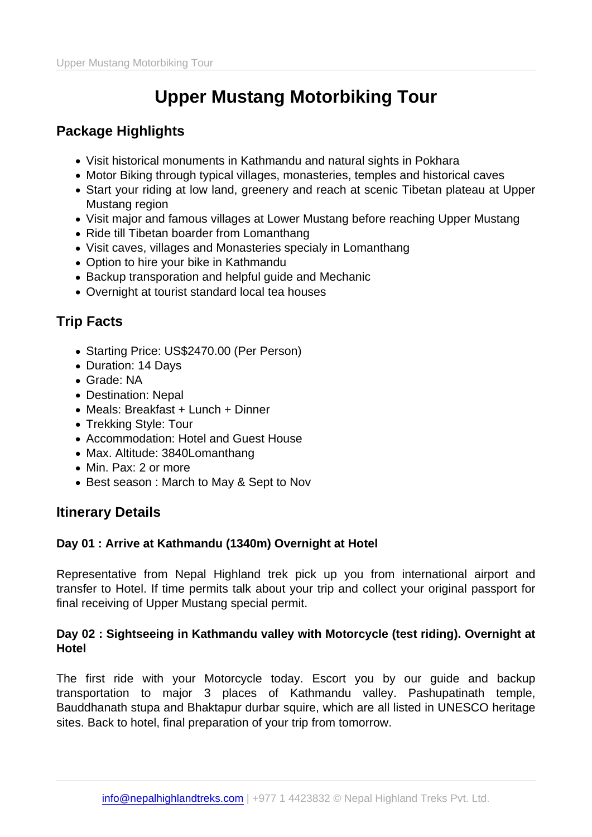### Package Highlights

- Visit historical monuments in Kathmandu and natural sights in Pokhara
- Motor Biking through typical villages, monasteries, temples and historical caves
- Start your riding at low land, greenery and reach at scenic Tibetan plateau at Upper Mustang region
- Visit major and famous villages at Lower Mustang before reaching Upper Mustang
- Ride till Tibetan boarder from Lomanthang
- Visit caves, villages and Monasteries specialy in Lomanthang
- Option to hire your bike in Kathmandu
- Backup transporation and helpful guide and Mechanic
- Overnight at tourist standard local tea houses

## Trip Facts

- Starting Price: US\$2470.00 (Per Person)
- Duration: 14 Days
- Grade: NA
- Destination: Nepal
- Meals: Breakfast + Lunch + Dinner
- Trekking Style: Tour
- Accommodation: Hotel and Guest House
- Max. Altitude: 3840Lomanthang
- Min. Pax: 2 or more
- Best season: March to May & Sept to Nov

Itinerary Details

Day 01 : Arrive at Kathmandu (1340m) Overnight at Hotel

Representative from Nepal Highland trek pick up you from international airport and transfer to Hotel. If time permits talk about your trip and collect your original passport for final receiving of Upper Mustang special permit.

Day 02 : Sightseeing in Kathmandu valley with Motorcycle (test riding). Overnight at Hotel

The first ride with your Motorcycle today. Escort you by our guide and backup transportation to major 3 places of Kathmandu valley. Pashupatinath temple, Bauddhanath stupa and Bhaktapur durbar squire, which are all listed in UNESCO heritage sites. Back to hotel, final preparation of your trip from tomorrow.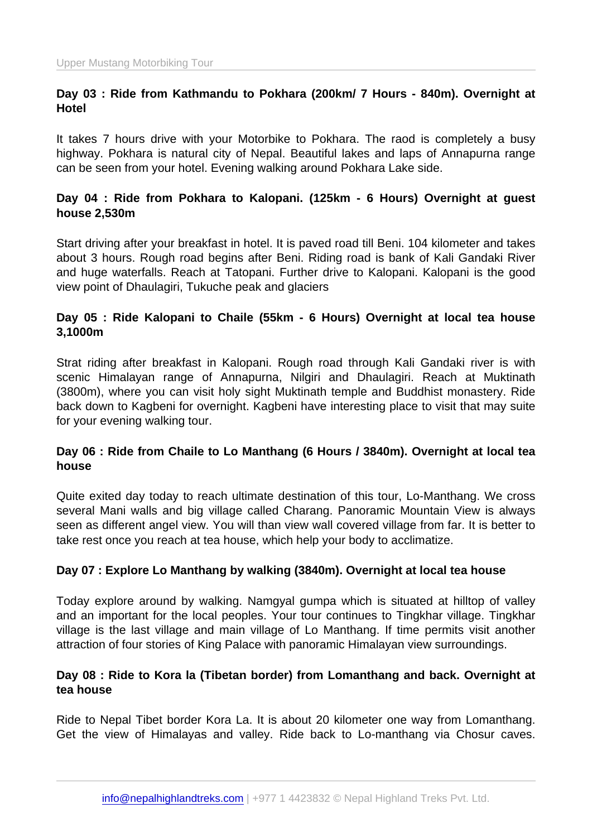Day 03 : Ride from Kathmandu to Pokhara (200km/ 7 Hours - 840m). Overnight at Hotel

It takes 7 hours drive with your Motorbike to Pokhara. The raod is completely a busy highway. Pokhara is natural city of Nepal. Beautiful lakes and laps of Annapurna range can be seen from your hotel. Evening walking around Pokhara Lake side.

Day 04 : Ride from Pokhara to Kalopani. (125km - 6 Hours) Overnight at guest house 2,530m

Start driving after your breakfast in hotel. It is paved road till Beni. 104 kilometer and takes about 3 hours. Rough road begins after Beni. Riding road is bank of Kali Gandaki River and huge waterfalls. Reach at Tatopani. Further drive to Kalopani. Kalopani is the good view point of Dhaulagiri, Tukuche peak and glaciers

Day 05 : Ride Kalopani to Chaile (55km - 6 Hours) Overnight at local tea house 3,1000m

Strat riding after breakfast in Kalopani. Rough road through Kali Gandaki river is with scenic Himalayan range of Annapurna, Nilgiri and Dhaulagiri. Reach at Muktinath (3800m), where you can visit holy sight Muktinath temple and Buddhist monastery. Ride back down to Kagbeni for overnight. Kagbeni have interesting place to visit that may suite for your evening walking tour.

Day 06 : Ride from Chaile to Lo Manthang (6 Hours / 3840m). Overnight at local tea house

Quite exited day today to reach ultimate destination of this tour, Lo-Manthang. We cross several Mani walls and big village called Charang. Panoramic Mountain View is always seen as different angel view. You will than view wall covered village from far. It is better to take rest once you reach at tea house, which help your body to acclimatize.

Day 07 : Explore Lo Manthang by walking (3840m). Overnight at local tea house

Today explore around by walking. Namgyal gumpa which is situated at hilltop of valley and an important for the local peoples. Your tour continues to Tingkhar village. Tingkhar village is the last village and main village of Lo Manthang. If time permits visit another attraction of four stories of King Palace with panoramic Himalayan view surroundings.

Day 08 : Ride to Kora la (Tibetan border) from Lomanthang and back. Overnight at tea house

Ride to Nepal Tibet border Kora La. It is about 20 kilometer one way from Lomanthang. Get the view of Himalayas and valley. Ride back to Lo-manthang via Chosur caves.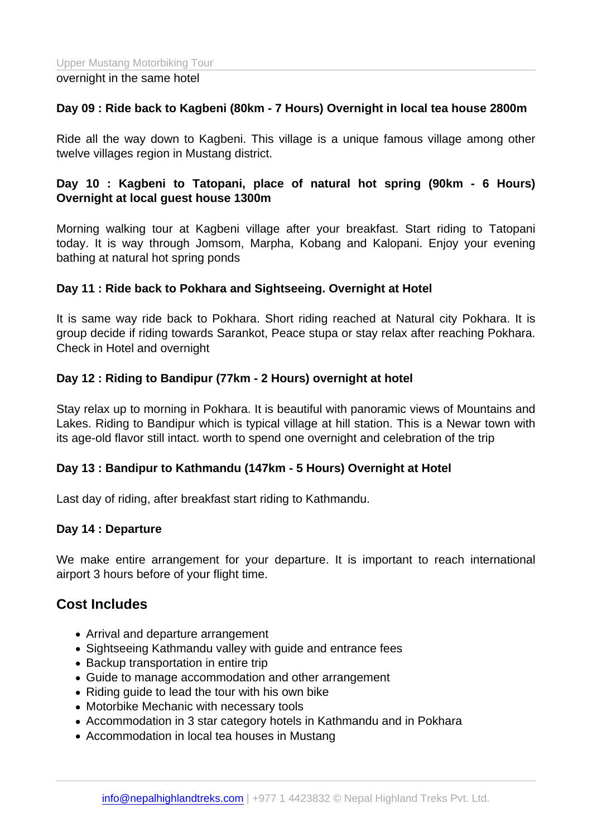#### overnight in the same hotel

Day 09 : Ride back to Kagbeni (80km - 7 Hours) Overnight in local tea house 2800m

Ride all the way down to Kagbeni. This village is a unique famous village among other twelve villages region in Mustang district.

Day 10 : Kagbeni to Tatopani, place of natural hot spring (90km - 6 Hours) Overnight at local guest house 1300m

Morning walking tour at Kagbeni village after your breakfast. Start riding to Tatopani today. It is way through Jomsom, Marpha, Kobang and Kalopani. Enjoy your evening bathing at natural hot spring ponds

Day 11 : Ride back to Pokhara and Sightseeing. Overnight at Hotel

It is same way ride back to Pokhara. Short riding reached at Natural city Pokhara. It is group decide if riding towards Sarankot, Peace stupa or stay relax after reaching Pokhara. Check in Hotel and overnight

Day 12 : Riding to Bandipur (77km - 2 Hours) overnight at hotel

Stay relax up to morning in Pokhara. It is beautiful with panoramic views of Mountains and Lakes. Riding to Bandipur which is typical village at hill station. This is a Newar town with its age-old flavor still intact. worth to spend one overnight and celebration of the trip

Day 13 : Bandipur to Kathmandu (147km - 5 Hours) Overnight at Hotel

Last day of riding, after breakfast start riding to Kathmandu.

Day 14 : Departure

We make entire arrangement for your departure. It is important to reach international airport 3 hours before of your flight time.

#### Cost Includes

- Arrival and departure arrangement
- Sightseeing Kathmandu valley with guide and entrance fees
- Backup transportation in entire trip
- Guide to manage accommodation and other arrangement
- Riding guide to lead the tour with his own bike
- Motorbike Mechanic with necessary tools
- Accommodation in 3 star category hotels in Kathmandu and in Pokhara
- Accommodation in local tea houses in Mustang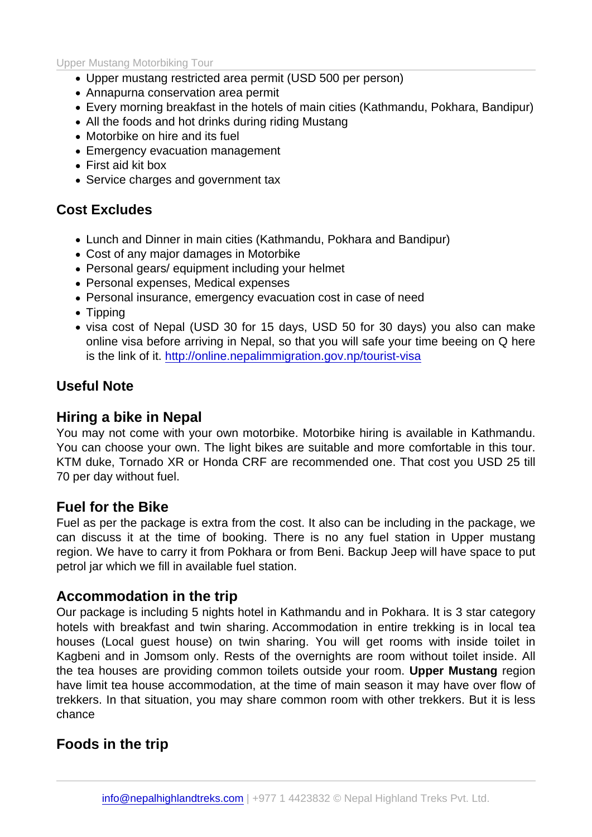- Upper mustang restricted area permit (USD 500 per person)
- Annapurna conservation area permit
- Every morning breakfast in the hotels of main cities (Kathmandu, Pokhara, Bandipur)
- All the foods and hot drinks during riding Mustang
- Motorbike on hire and its fuel
- Emergency evacuation management
- First aid kit box
- Service charges and government tax

### Cost Excludes

- Lunch and Dinner in main cities (Kathmandu, Pokhara and Bandipur)
- Cost of any major damages in Motorbike
- Personal gears/ equipment including your helmet
- Personal expenses, Medical expenses
- Personal insurance, emergency evacuation cost in case of need
- Tipping
- visa cost of Nepal (USD 30 for 15 days, USD 50 for 30 days) you also can make online visa before arriving in Nepal, so that you will safe your time beeing on Q here is the link of it. http://online.nepalimmigration.gov.np/tourist-visa

## Useful Note

## Hiring a bike in [Nepal](http://online.nepalimmigration.gov.np/tourist-visa)

You may not come with your own motorbike. Motorbike hiring is available in Kathmandu. You can choose your own. The light bikes are suitable and more comfortable in this tour. KTM duke, Tornado XR or Honda CRF are recommended one. That cost you USD 25 till 70 per day without fuel.

### Fuel for the Bike

Fuel as per the package is extra from the cost. It also can be including in the package, we can discuss it at the time of booking. There is no any fuel station in Upper mustang region. We have to carry it from Pokhara or from Beni. Backup Jeep will have space to put petrol jar which we fill in available fuel station.

### Accommodation in the trip

Our package is including 5 nights hotel in Kathmandu and in Pokhara. It is 3 star category hotels with breakfast and twin sharing. Accommodation in entire trekking is in local tea houses (Local guest house) on twin sharing. You will get rooms with inside toilet in Kagbeni and in Jomsom only. Rests of the overnights are room without toilet inside. All the tea houses are providing common toilets outside your room. Upper Mustang region have limit tea house accommodation, at the time of main season it may have over flow of trekkers. In that situation, you may share common room with other trekkers. But it is less chance

Foods in the trip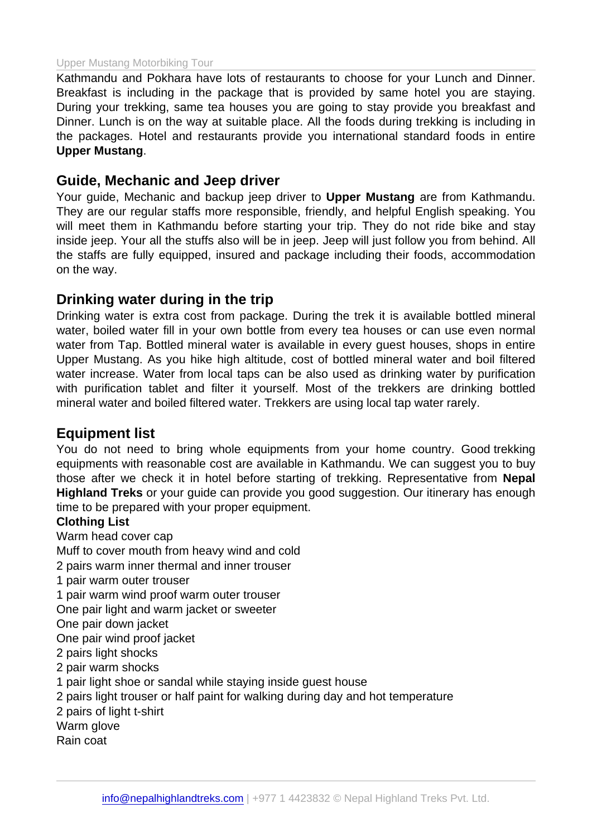Kathmandu and Pokhara have lots of restaurants to choose for your Lunch and Dinner. Breakfast is including in the package that is provided by same hotel you are staying. During your trekking, same tea houses you are going to stay provide you breakfast and Dinner. Lunch is on the way at suitable place. All the foods during trekking is including in the packages. Hotel and restaurants provide you international standard foods in entire Upper Mustang .

#### Guide, Mechanic and Jeep driver

Your guide, Mechanic and backup jeep driver to Upper Mustang are from Kathmandu. They are our regular staffs more responsible, friendly, and helpful English speaking. You will meet them in Kathmandu before starting your trip. They do not ride bike and stay inside jeep. Your all the stuffs also will be in jeep. Jeep will just follow you from behind. All the staffs are fully equipped, insured and package including their foods, accommodation on the way.

#### Drinking water during in the trip

Drinking water is extra cost from package. During the trek it is available bottled mineral water, boiled water fill in your own bottle from every tea houses or can use even normal water from Tap. Bottled mineral water is available in every guest houses, shops in entire Upper Mustang. As you hike high altitude, cost of bottled mineral water and boil filtered water increase. Water from local taps can be also used as drinking water by purification with purification tablet and filter it yourself. Most of the trekkers are drinking bottled mineral water and boiled filtered water. Trekkers are using local tap water rarely.

#### Equipment list

You do not need to bring whole equipments from your home country. Good trekking equipments with reasonable cost are available in Kathmandu. We can suggest you to buy those after we check it in hotel before starting of trekking. Representative from Nepal Highland Treks or your guide can provide you good suggestion. Our itinerary has enough time to be prepared with your proper equipment.

#### Clothing List

Warm head cover cap

Muff to cover mouth from heavy wind and cold

2 pairs warm inner thermal and inner trouser

1 pair warm outer trouser

1 pair warm wind proof warm outer trouser

One pair light and warm jacket or sweeter

One pair down jacket

One pair wind proof jacket

- 2 pairs light shocks
- 2 pair warm shocks
- 1 pair light shoe or sandal while staying inside guest house
- 2 pairs light trouser or half paint for walking during day and hot temperature
- 2 pairs of light t-shirt
- Warm glove
- Rain coat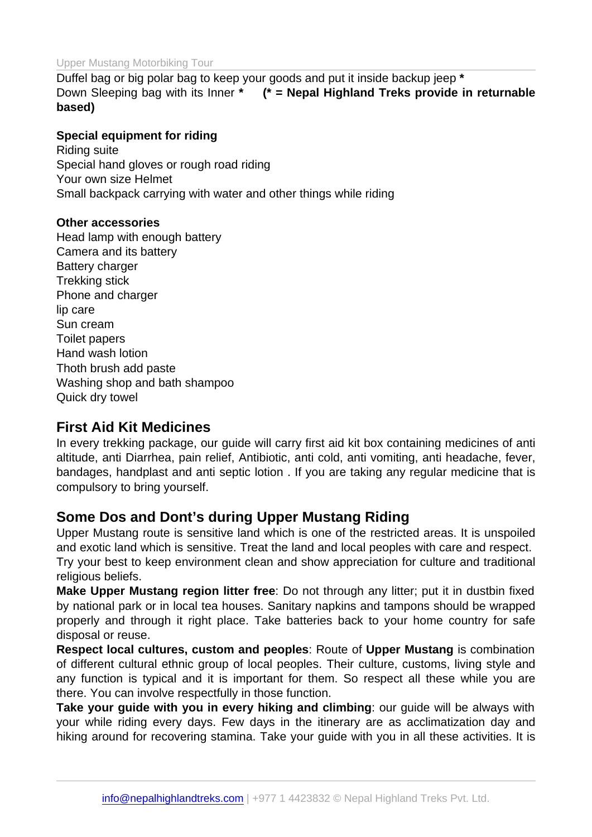Duffel bag or big polar bag to keep your goods and put it inside backup jeep \* Down Sleeping bag with its Inner \* (\* = Nepal Highland Treks provide in returnable based)

Special equipment for riding Riding suite Special hand gloves or rough road riding Your own size Helmet Small backpack carrying with water and other things while riding

Other accessories Head lamp with enough battery Camera and its battery Battery charger Trekking stick Phone and charger lip care Sun cream Toilet papers Hand wash lotion Thoth brush add paste Washing shop and bath shampoo Quick dry towel

#### First Aid Kit Medicines

In every trekking package, our guide will carry first aid kit box containing medicines of anti altitude, anti Diarrhea, pain relief, Antibiotic, anti cold, anti vomiting, anti headache, fever, bandages, handplast and anti septic lotion . If you are taking any regular medicine that is compulsory to bring yourself.

### Some Dos and Dont's during Upper Mustang Riding

Upper Mustang route is sensitive land which is one of the restricted areas. It is unspoiled and exotic land which is sensitive. Treat the land and local peoples with care and respect. Try your best to keep environment clean and show appreciation for culture and traditional religious beliefs.

Make Upper Mustang region litter free : Do not through any litter; put it in dustbin fixed by national park or in local tea houses. Sanitary napkins and tampons should be wrapped properly and through it right place. Take batteries back to your home country for safe disposal or reuse.

Respect local cultures, custom and peoples : Route of Upper Mustang is combination of different cultural ethnic group of local peoples. Their culture, customs, living style and any function is typical and it is important for them. So respect all these while you are there. You can involve respectfully in those function.

Take your guide with you in every hiking and climbing : our guide will be always with your while riding every days. Few days in the itinerary are as acclimatization day and hiking around for recovering stamina. Take your guide with you in all these activities. It is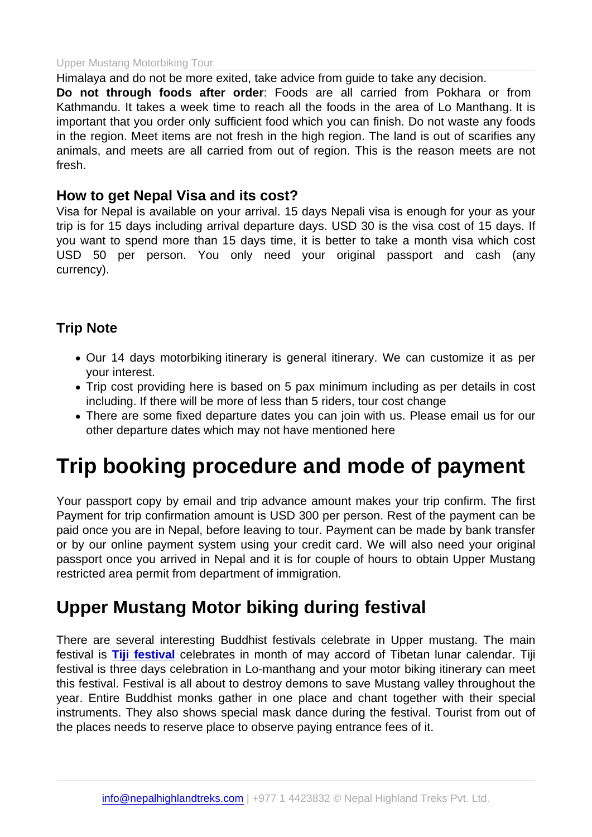Himalaya and do not be more exited, take advice from guide to take any decision. Do not through foods after order : Foods are all carried from Pokhara or from Kathmandu. It takes a week time to reach all the foods in the area of Lo Manthang. It is important that you order only sufficient food which you can finish. Do not waste any foods in the region. Meet items are not fresh in the high region. The land is out of scarifies any animals, and meets are all carried from out of region. This is the reason meets are not fresh.

#### How to get Nepal Visa and its cost?

Visa for Nepal is available on your arrival. 15 days Nepali visa is enough for your as your trip is for 15 days including arrival departure days. USD 30 is the visa cost of 15 days. If you want to spend more than 15 days time, it is better to take a month visa which cost USD 50 per person. You only need your original passport and cash (any currency).

#### Trip Note

- Our 14 days motorbiking itinerary is general itinerary. We can customize it as per your interest.
- Trip cost providing here is based on 5 pax minimum including as per details in cost including. If there will be more of less than 5 riders, tour cost change
- There are some fixed departure dates you can join with us. Please email us for our other departure dates which may not have mentioned here

# Trip booking procedure and mode of payment

Your passport copy by email and trip advance amount makes your trip confirm. The first Payment for trip confirmation amount is USD 300 per person. Rest of the payment can be paid once you are in Nepal, before leaving to tour. Payment can be made by bank transfer or by our online payment system using your credit card. We will also need your original passport once you arrived in Nepal and it is for couple of hours to obtain Upper Mustang restricted area permit from department of immigration.

## Upper Mustang Motor biking during festival

There are several interesting Buddhist festivals celebrate in Upper mustang. The main festival is Tiji festival celebrates in month of may accord of Tibetan lunar calendar. Tiji festival is three days celebration in Lo-manthang and your motor biking itinerary can meet this festival. Festival is all about to destroy demons to save Mustang valley throughout the year. Enti[re Buddhist](https://www.nepalhighlandtreks.com/upper-mustang-tiji-festival-tour.html) monks gather in one place and chant together with their special instruments. They also shows special mask dance during the festival. Tourist from out of the places needs to reserve place to observe paying entrance fees of it.